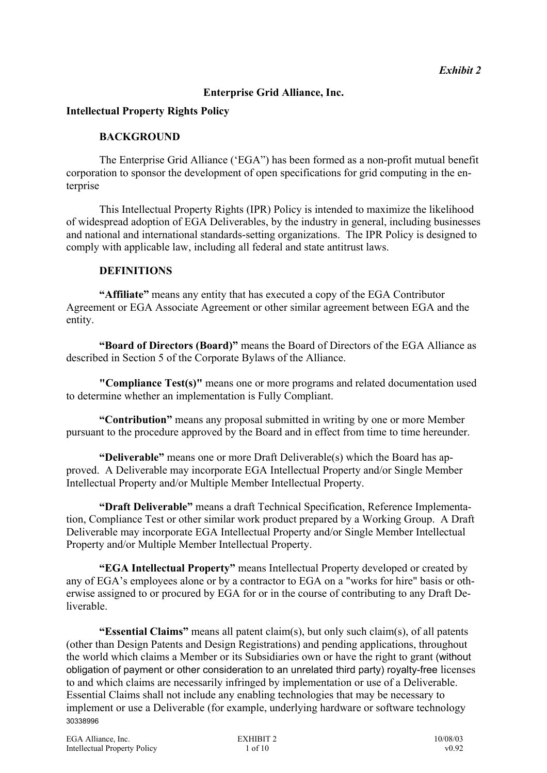### **Enterprise Grid Alliance, Inc.**

### **Intellectual Property Rights Policy**

### **BACKGROUND**

The Enterprise Grid Alliance ('EGA") has been formed as a non-profit mutual benefit corporation to sponsor the development of open specifications for grid computing in the enterprise

This Intellectual Property Rights (IPR) Policy is intended to maximize the likelihood of widespread adoption of EGA Deliverables, by the industry in general, including businesses and national and international standards-setting organizations. The IPR Policy is designed to comply with applicable law, including all federal and state antitrust laws.

### **DEFINITIONS**

**"Affiliate"** means any entity that has executed a copy of the EGA Contributor Agreement or EGA Associate Agreement or other similar agreement between EGA and the entity.

**"Board of Directors (Board)"** means the Board of Directors of the EGA Alliance as described in Section 5 of the Corporate Bylaws of the Alliance.

**"Compliance Test(s)"** means one or more programs and related documentation used to determine whether an implementation is Fully Compliant.

**"Contribution"** means any proposal submitted in writing by one or more Member pursuant to the procedure approved by the Board and in effect from time to time hereunder.

**"Deliverable"** means one or more Draft Deliverable(s) which the Board has approved. A Deliverable may incorporate EGA Intellectual Property and/or Single Member Intellectual Property and/or Multiple Member Intellectual Property.

**"Draft Deliverable"** means a draft Technical Specification, Reference Implementation, Compliance Test or other similar work product prepared by a Working Group. A Draft Deliverable may incorporate EGA Intellectual Property and/or Single Member Intellectual Property and/or Multiple Member Intellectual Property.

**"EGA Intellectual Property"** means Intellectual Property developed or created by any of EGA's employees alone or by a contractor to EGA on a "works for hire" basis or otherwise assigned to or procured by EGA for or in the course of contributing to any Draft Deliverable.

**"Essential Claims"** means all patent claim(s), but only such claim(s), of all patents (other than Design Patents and Design Registrations) and pending applications, throughout the world which claims a Member or its Subsidiaries own or have the right to grant (without obligation of payment or other consideration to an unrelated third party) royalty-free licenses to and which claims are necessarily infringed by implementation or use of a Deliverable. Essential Claims shall not include any enabling technologies that may be necessary to implement or use a Deliverable (for example, underlying hardware or software technology 30338996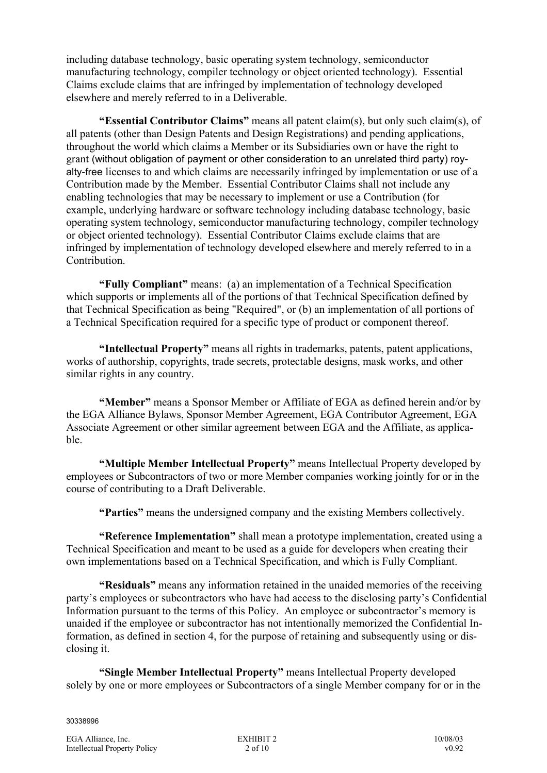including database technology, basic operating system technology, semiconductor manufacturing technology, compiler technology or object oriented technology). Essential Claims exclude claims that are infringed by implementation of technology developed elsewhere and merely referred to in a Deliverable.

**"Essential Contributor Claims"** means all patent claim(s), but only such claim(s), of all patents (other than Design Patents and Design Registrations) and pending applications, throughout the world which claims a Member or its Subsidiaries own or have the right to grant (without obligation of payment or other consideration to an unrelated third party) royalty-free licenses to and which claims are necessarily infringed by implementation or use of a Contribution made by the Member. Essential Contributor Claims shall not include any enabling technologies that may be necessary to implement or use a Contribution (for example, underlying hardware or software technology including database technology, basic operating system technology, semiconductor manufacturing technology, compiler technology or object oriented technology). Essential Contributor Claims exclude claims that are infringed by implementation of technology developed elsewhere and merely referred to in a Contribution.

**"Fully Compliant"** means: (a) an implementation of a Technical Specification which supports or implements all of the portions of that Technical Specification defined by that Technical Specification as being "Required", or (b) an implementation of all portions of a Technical Specification required for a specific type of product or component thereof.

**"Intellectual Property"** means all rights in trademarks, patents, patent applications, works of authorship, copyrights, trade secrets, protectable designs, mask works, and other similar rights in any country.

**"Member"** means a Sponsor Member or Affiliate of EGA as defined herein and/or by the EGA Alliance Bylaws, Sponsor Member Agreement, EGA Contributor Agreement, EGA Associate Agreement or other similar agreement between EGA and the Affiliate, as applicable.

**"Multiple Member Intellectual Property"** means Intellectual Property developed by employees or Subcontractors of two or more Member companies working jointly for or in the course of contributing to a Draft Deliverable.

**"Parties"** means the undersigned company and the existing Members collectively.

**"Reference Implementation"** shall mean a prototype implementation, created using a Technical Specification and meant to be used as a guide for developers when creating their own implementations based on a Technical Specification, and which is Fully Compliant.

**"Residuals"** means any information retained in the unaided memories of the receiving party's employees or subcontractors who have had access to the disclosing party's Confidential Information pursuant to the terms of this Policy. An employee or subcontractor's memory is unaided if the employee or subcontractor has not intentionally memorized the Confidential Information, as defined in section 4, for the purpose of retaining and subsequently using or disclosing it.

**"Single Member Intellectual Property"** means Intellectual Property developed solely by one or more employees or Subcontractors of a single Member company for or in the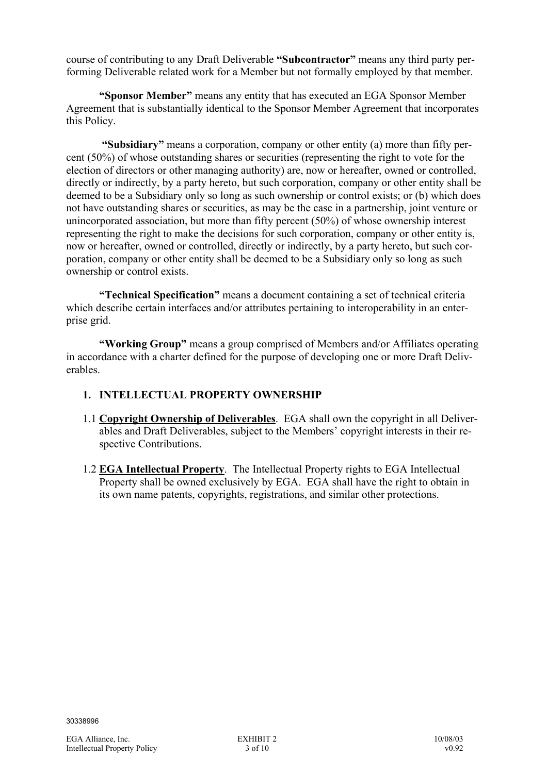course of contributing to any Draft Deliverable **"Subcontractor"** means any third party performing Deliverable related work for a Member but not formally employed by that member.

**"Sponsor Member"** means any entity that has executed an EGA Sponsor Member Agreement that is substantially identical to the Sponsor Member Agreement that incorporates this Policy.

 **"Subsidiary"** means a corporation, company or other entity (a) more than fifty percent (50%) of whose outstanding shares or securities (representing the right to vote for the election of directors or other managing authority) are, now or hereafter, owned or controlled, directly or indirectly, by a party hereto, but such corporation, company or other entity shall be deemed to be a Subsidiary only so long as such ownership or control exists; or (b) which does not have outstanding shares or securities, as may be the case in a partnership, joint venture or unincorporated association, but more than fifty percent (50%) of whose ownership interest representing the right to make the decisions for such corporation, company or other entity is, now or hereafter, owned or controlled, directly or indirectly, by a party hereto, but such corporation, company or other entity shall be deemed to be a Subsidiary only so long as such ownership or control exists.

**"Technical Specification"** means a document containing a set of technical criteria which describe certain interfaces and/or attributes pertaining to interoperability in an enterprise grid.

**"Working Group"** means a group comprised of Members and/or Affiliates operating in accordance with a charter defined for the purpose of developing one or more Draft Deliverables.

## **1. INTELLECTUAL PROPERTY OWNERSHIP**

- 1.1 **Copyright Ownership of Deliverables**. EGA shall own the copyright in all Deliverables and Draft Deliverables, subject to the Members' copyright interests in their respective Contributions.
- 1.2 **EGA Intellectual Property**. The Intellectual Property rights to EGA Intellectual Property shall be owned exclusively by EGA. EGA shall have the right to obtain in its own name patents, copyrights, registrations, and similar other protections.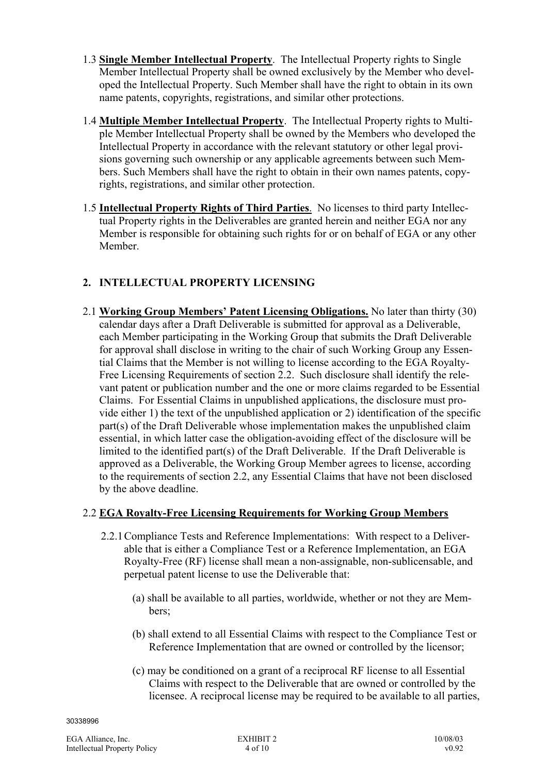- 1.3 **Single Member Intellectual Property**. The Intellectual Property rights to Single Member Intellectual Property shall be owned exclusively by the Member who developed the Intellectual Property. Such Member shall have the right to obtain in its own name patents, copyrights, registrations, and similar other protections.
- 1.4 **Multiple Member Intellectual Property**. The Intellectual Property rights to Multiple Member Intellectual Property shall be owned by the Members who developed the Intellectual Property in accordance with the relevant statutory or other legal provisions governing such ownership or any applicable agreements between such Members. Such Members shall have the right to obtain in their own names patents, copyrights, registrations, and similar other protection.
- 1.5 **Intellectual Property Rights of Third Parties**. No licenses to third party Intellectual Property rights in the Deliverables are granted herein and neither EGA nor any Member is responsible for obtaining such rights for or on behalf of EGA or any other Member.

# **2. INTELLECTUAL PROPERTY LICENSING**

2.1 **Working Group Members' Patent Licensing Obligations.** No later than thirty (30) calendar days after a Draft Deliverable is submitted for approval as a Deliverable, each Member participating in the Working Group that submits the Draft Deliverable for approval shall disclose in writing to the chair of such Working Group any Essential Claims that the Member is not willing to license according to the EGA Royalty-Free Licensing Requirements of section 2.2. Such disclosure shall identify the relevant patent or publication number and the one or more claims regarded to be Essential Claims. For Essential Claims in unpublished applications, the disclosure must provide either 1) the text of the unpublished application or 2) identification of the specific part(s) of the Draft Deliverable whose implementation makes the unpublished claim essential, in which latter case the obligation-avoiding effect of the disclosure will be limited to the identified part(s) of the Draft Deliverable. If the Draft Deliverable is approved as a Deliverable, the Working Group Member agrees to license, according to the requirements of section 2.2, any Essential Claims that have not been disclosed by the above deadline.

# 2.2 **EGA Royalty-Free Licensing Requirements for Working Group Members**

- 2.2.1 Compliance Tests and Reference Implementations: With respect to a Deliverable that is either a Compliance Test or a Reference Implementation, an EGA Royalty-Free (RF) license shall mean a non-assignable, non-sublicensable, and perpetual patent license to use the Deliverable that:
	- (a) shall be available to all parties, worldwide, whether or not they are Members;
	- (b) shall extend to all Essential Claims with respect to the Compliance Test or Reference Implementation that are owned or controlled by the licensor;
	- (c) may be conditioned on a grant of a reciprocal RF license to all Essential Claims with respect to the Deliverable that are owned or controlled by the licensee. A reciprocal license may be required to be available to all parties,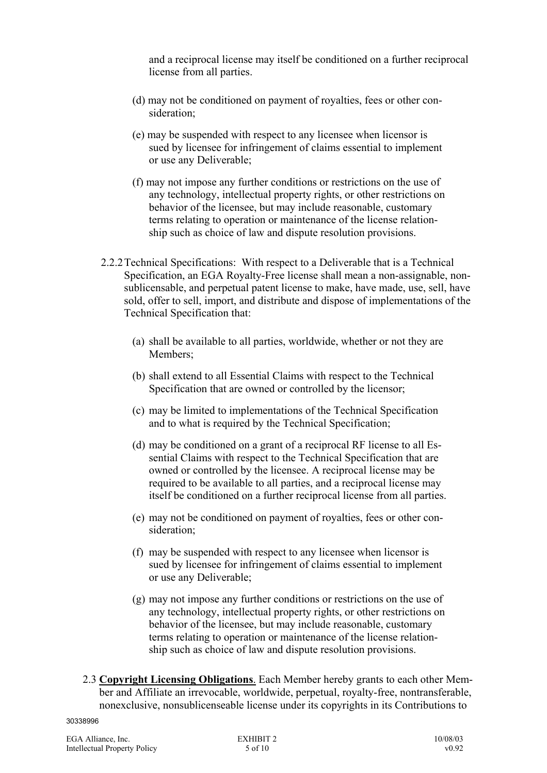and a reciprocal license may itself be conditioned on a further reciprocal license from all parties.

- (d) may not be conditioned on payment of royalties, fees or other consideration;
- (e) may be suspended with respect to any licensee when licensor is sued by licensee for infringement of claims essential to implement or use any Deliverable;
- (f) may not impose any further conditions or restrictions on the use of any technology, intellectual property rights, or other restrictions on behavior of the licensee, but may include reasonable, customary terms relating to operation or maintenance of the license relationship such as choice of law and dispute resolution provisions.
- 2.2.2 Technical Specifications: With respect to a Deliverable that is a Technical Specification, an EGA Royalty-Free license shall mean a non-assignable, nonsublicensable, and perpetual patent license to make, have made, use, sell, have sold, offer to sell, import, and distribute and dispose of implementations of the Technical Specification that:
	- (a) shall be available to all parties, worldwide, whether or not they are Members;
	- (b) shall extend to all Essential Claims with respect to the Technical Specification that are owned or controlled by the licensor;
	- (c) may be limited to implementations of the Technical Specification and to what is required by the Technical Specification;
	- (d) may be conditioned on a grant of a reciprocal RF license to all Essential Claims with respect to the Technical Specification that are owned or controlled by the licensee. A reciprocal license may be required to be available to all parties, and a reciprocal license may itself be conditioned on a further reciprocal license from all parties.
	- (e) may not be conditioned on payment of royalties, fees or other consideration;
	- (f) may be suspended with respect to any licensee when licensor is sued by licensee for infringement of claims essential to implement or use any Deliverable;
	- (g) may not impose any further conditions or restrictions on the use of any technology, intellectual property rights, or other restrictions on behavior of the licensee, but may include reasonable, customary terms relating to operation or maintenance of the license relationship such as choice of law and dispute resolution provisions.
- 2.3 **Copyright Licensing Obligations**. Each Member hereby grants to each other Member and Affiliate an irrevocable, worldwide, perpetual, royalty-free, nontransferable, nonexclusive, nonsublicenseable license under its copyrights in its Contributions to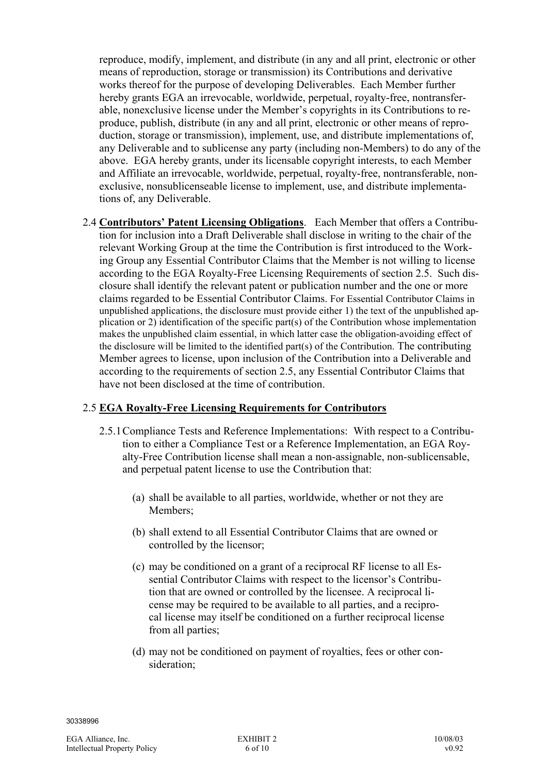reproduce, modify, implement, and distribute (in any and all print, electronic or other means of reproduction, storage or transmission) its Contributions and derivative works thereof for the purpose of developing Deliverables. Each Member further hereby grants EGA an irrevocable, worldwide, perpetual, royalty-free, nontransferable, nonexclusive license under the Member's copyrights in its Contributions to reproduce, publish, distribute (in any and all print, electronic or other means of reproduction, storage or transmission), implement, use, and distribute implementations of, any Deliverable and to sublicense any party (including non-Members) to do any of the above. EGA hereby grants, under its licensable copyright interests, to each Member and Affiliate an irrevocable, worldwide, perpetual, royalty-free, nontransferable, nonexclusive, nonsublicenseable license to implement, use, and distribute implementations of, any Deliverable.

2.4 **Contributors' Patent Licensing Obligations**. Each Member that offers a Contribution for inclusion into a Draft Deliverable shall disclose in writing to the chair of the relevant Working Group at the time the Contribution is first introduced to the Working Group any Essential Contributor Claims that the Member is not willing to license according to the EGA Royalty-Free Licensing Requirements of section 2.5. Such disclosure shall identify the relevant patent or publication number and the one or more claims regarded to be Essential Contributor Claims. For Essential Contributor Claims in unpublished applications, the disclosure must provide either 1) the text of the unpublished application or 2) identification of the specific part(s) of the Contribution whose implementation makes the unpublished claim essential, in which latter case the obligation-avoiding effect of the disclosure will be limited to the identified part(s) of the Contribution. The contributing Member agrees to license, upon inclusion of the Contribution into a Deliverable and according to the requirements of section 2.5, any Essential Contributor Claims that have not been disclosed at the time of contribution.

# 2.5 **EGA Royalty-Free Licensing Requirements for Contributors**

- 2.5.1 Compliance Tests and Reference Implementations: With respect to a Contribution to either a Compliance Test or a Reference Implementation, an EGA Royalty-Free Contribution license shall mean a non-assignable, non-sublicensable, and perpetual patent license to use the Contribution that:
	- (a) shall be available to all parties, worldwide, whether or not they are Members;
	- (b) shall extend to all Essential Contributor Claims that are owned or controlled by the licensor;
	- (c) may be conditioned on a grant of a reciprocal RF license to all Essential Contributor Claims with respect to the licensor's Contribution that are owned or controlled by the licensee. A reciprocal license may be required to be available to all parties, and a reciprocal license may itself be conditioned on a further reciprocal license from all parties;
	- (d) may not be conditioned on payment of royalties, fees or other consideration;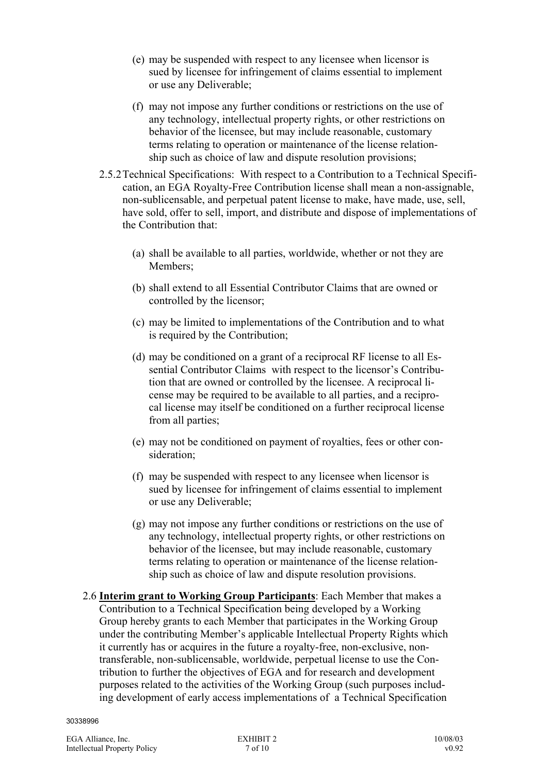- (e) may be suspended with respect to any licensee when licensor is sued by licensee for infringement of claims essential to implement or use any Deliverable;
- (f) may not impose any further conditions or restrictions on the use of any technology, intellectual property rights, or other restrictions on behavior of the licensee, but may include reasonable, customary terms relating to operation or maintenance of the license relationship such as choice of law and dispute resolution provisions;
- 2.5.2 Technical Specifications: With respect to a Contribution to a Technical Specification, an EGA Royalty-Free Contribution license shall mean a non-assignable, non-sublicensable, and perpetual patent license to make, have made, use, sell, have sold, offer to sell, import, and distribute and dispose of implementations of the Contribution that:
	- (a) shall be available to all parties, worldwide, whether or not they are Members;
	- (b) shall extend to all Essential Contributor Claims that are owned or controlled by the licensor;
	- (c) may be limited to implementations of the Contribution and to what is required by the Contribution;
	- (d) may be conditioned on a grant of a reciprocal RF license to all Essential Contributor Claims with respect to the licensor's Contribution that are owned or controlled by the licensee. A reciprocal license may be required to be available to all parties, and a reciprocal license may itself be conditioned on a further reciprocal license from all parties;
	- (e) may not be conditioned on payment of royalties, fees or other consideration;
	- (f) may be suspended with respect to any licensee when licensor is sued by licensee for infringement of claims essential to implement or use any Deliverable;
	- (g) may not impose any further conditions or restrictions on the use of any technology, intellectual property rights, or other restrictions on behavior of the licensee, but may include reasonable, customary terms relating to operation or maintenance of the license relationship such as choice of law and dispute resolution provisions.
- 2.6 **Interim grant to Working Group Participants**: Each Member that makes a Contribution to a Technical Specification being developed by a Working Group hereby grants to each Member that participates in the Working Group under the contributing Member's applicable Intellectual Property Rights which it currently has or acquires in the future a royalty-free, non-exclusive, nontransferable, non-sublicensable, worldwide, perpetual license to use the Contribution to further the objectives of EGA and for research and development purposes related to the activities of the Working Group (such purposes including development of early access implementations of a Technical Specification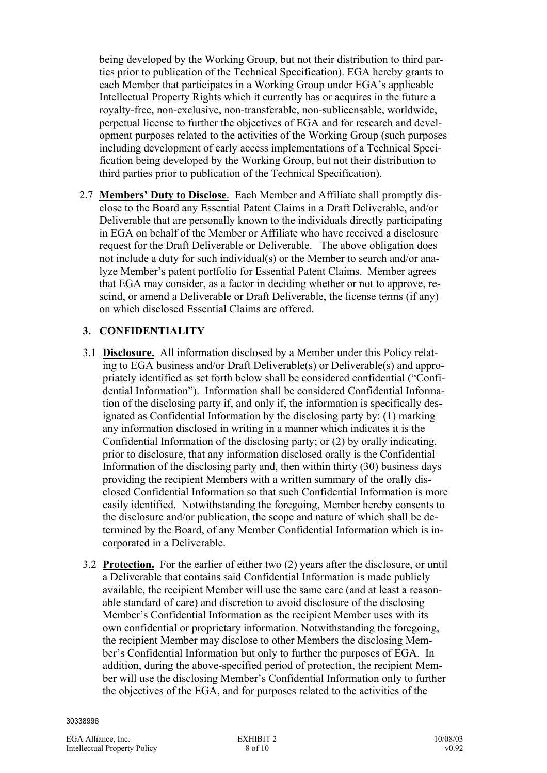being developed by the Working Group, but not their distribution to third parties prior to publication of the Technical Specification). EGA hereby grants to each Member that participates in a Working Group under EGA's applicable Intellectual Property Rights which it currently has or acquires in the future a royalty-free, non-exclusive, non-transferable, non-sublicensable, worldwide, perpetual license to further the objectives of EGA and for research and development purposes related to the activities of the Working Group (such purposes including development of early access implementations of a Technical Specification being developed by the Working Group, but not their distribution to third parties prior to publication of the Technical Specification).

2.7 **Members' Duty to Disclose**. Each Member and Affiliate shall promptly disclose to the Board any Essential Patent Claims in a Draft Deliverable, and/or Deliverable that are personally known to the individuals directly participating in EGA on behalf of the Member or Affiliate who have received a disclosure request for the Draft Deliverable or Deliverable. The above obligation does not include a duty for such individual(s) or the Member to search and/or analyze Member's patent portfolio for Essential Patent Claims. Member agrees that EGA may consider, as a factor in deciding whether or not to approve, rescind, or amend a Deliverable or Draft Deliverable, the license terms (if any) on which disclosed Essential Claims are offered.

## **3. CONFIDENTIALITY**

- 3.1 **Disclosure.** All information disclosed by a Member under this Policy relating to EGA business and/or Draft Deliverable(s) or Deliverable(s) and appropriately identified as set forth below shall be considered confidential ("Confidential Information"). Information shall be considered Confidential Information of the disclosing party if, and only if, the information is specifically designated as Confidential Information by the disclosing party by: (1) marking any information disclosed in writing in a manner which indicates it is the Confidential Information of the disclosing party; or (2) by orally indicating, prior to disclosure, that any information disclosed orally is the Confidential Information of the disclosing party and, then within thirty (30) business days providing the recipient Members with a written summary of the orally disclosed Confidential Information so that such Confidential Information is more easily identified. Notwithstanding the foregoing, Member hereby consents to the disclosure and/or publication, the scope and nature of which shall be determined by the Board, of any Member Confidential Information which is incorporated in a Deliverable.
- 3.2 **Protection.** For the earlier of either two (2) years after the disclosure, or until a Deliverable that contains said Confidential Information is made publicly available, the recipient Member will use the same care (and at least a reasonable standard of care) and discretion to avoid disclosure of the disclosing Member's Confidential Information as the recipient Member uses with its own confidential or proprietary information. Notwithstanding the foregoing, the recipient Member may disclose to other Members the disclosing Member's Confidential Information but only to further the purposes of EGA. In addition, during the above-specified period of protection, the recipient Member will use the disclosing Member's Confidential Information only to further the objectives of the EGA, and for purposes related to the activities of the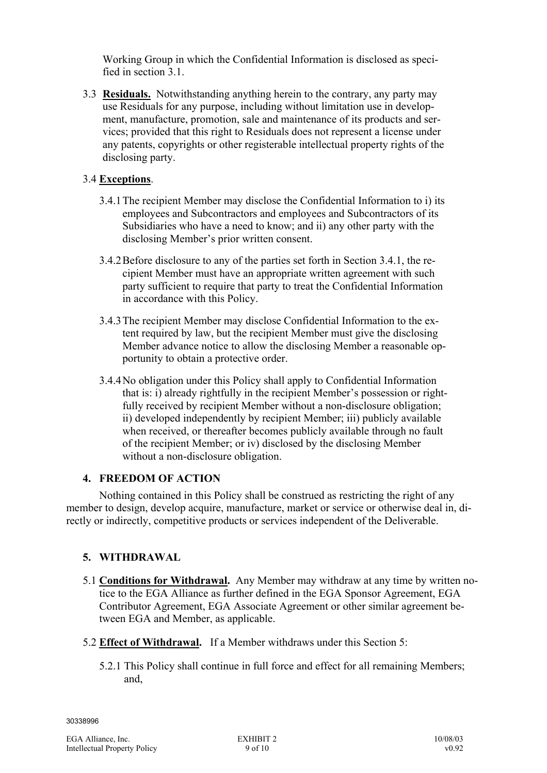Working Group in which the Confidential Information is disclosed as specified in section 3.1.

3.3 **Residuals.** Notwithstanding anything herein to the contrary, any party may use Residuals for any purpose, including without limitation use in development, manufacture, promotion, sale and maintenance of its products and services; provided that this right to Residuals does not represent a license under any patents, copyrights or other registerable intellectual property rights of the disclosing party.

## 3.4 **Exceptions**.

- 3.4.1 The recipient Member may disclose the Confidential Information to i) its employees and Subcontractors and employees and Subcontractors of its Subsidiaries who have a need to know; and ii) any other party with the disclosing Member's prior written consent.
- 3.4.2 Before disclosure to any of the parties set forth in Section 3.4.1, the recipient Member must have an appropriate written agreement with such party sufficient to require that party to treat the Confidential Information in accordance with this Policy.
- 3.4.3 The recipient Member may disclose Confidential Information to the extent required by law, but the recipient Member must give the disclosing Member advance notice to allow the disclosing Member a reasonable opportunity to obtain a protective order.
- 3.4.4 No obligation under this Policy shall apply to Confidential Information that is: i) already rightfully in the recipient Member's possession or rightfully received by recipient Member without a non-disclosure obligation; ii) developed independently by recipient Member; iii) publicly available when received, or thereafter becomes publicly available through no fault of the recipient Member; or iv) disclosed by the disclosing Member without a non-disclosure obligation.

# **4. FREEDOM OF ACTION**

Nothing contained in this Policy shall be construed as restricting the right of any member to design, develop acquire, manufacture, market or service or otherwise deal in, directly or indirectly, competitive products or services independent of the Deliverable.

## **5. WITHDRAWAL**

- 5.1 **Conditions for Withdrawal.** Any Member may withdraw at any time by written notice to the EGA Alliance as further defined in the EGA Sponsor Agreement, EGA Contributor Agreement, EGA Associate Agreement or other similar agreement between EGA and Member, as applicable.
- 5.2 **Effect of Withdrawal.** If a Member withdraws under this Section 5:
	- 5.2.1 This Policy shall continue in full force and effect for all remaining Members; and,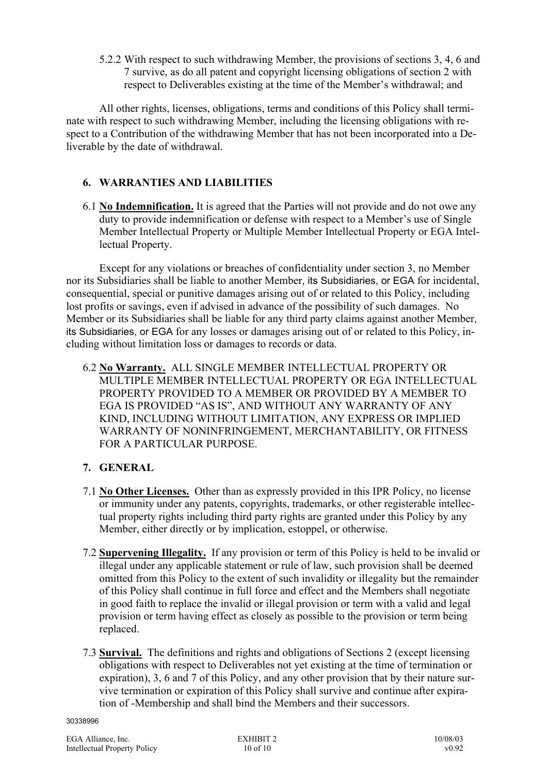5.2.2 With respect to such withdrawing Member, the provisions of sections 3, 4, 6 and 7 survive, as do all patent and copyright licensing obligations of section 2 with respect to Deliverables existing at the time of the Member's withdrawal; and

All other rights, licenses, obligations, terms and conditions of this Policy shall terminate with respect to such withdrawing Member, including the licensing obligations with respect to a Contribution of the withdrawing Member that has not been incorporated into a Deliverable by the date of withdrawal.

## **6. WARRANTIES AND LIABILITIES**

6.1 **No Indemnification.** It is agreed that the Parties will not provide and do not owe any duty to provide indemnification or defense with respect to a Member's use of Single Member Intellectual Property or Multiple Member Intellectual Property or EGA Intellectual Property.

Except for any violations or breaches of confidentiality under section 3, no Member nor its Subsidiaries shall be liable to another Member, its Subsidiaries, or EGA for incidental, consequential, special or punitive damages arising out of or related to this Policy, including lost profits or savings, even if advised in advance of the possibility of such damages. No Member or its Subsidiaries shall be liable for any third party claims against another Member, its Subsidiaries, or EGA for any losses or damages arising out of or related to this Policy, including without limitation loss or damages to records or data.

6.2 **No Warranty.** ALL SINGLE MEMBER INTELLECTUAL PROPERTY OR MULTIPLE MEMBER INTELLECTUAL PROPERTY OR EGA INTELLECTUAL PROPERTY PROVIDED TO A MEMBER OR PROVIDED BY A MEMBER TO EGA IS PROVIDED "AS IS", AND WITHOUT ANY WARRANTY OF ANY KIND, INCLUDING WITHOUT LIMITATION, ANY EXPRESS OR IMPLIED WARRANTY OF NONINFRINGEMENT, MERCHANTABILITY, OR FITNESS FOR A PARTICULAR PURPOSE.

# **7. GENERAL**

- 7.1 **No Other Licenses.** Other than as expressly provided in this IPR Policy, no license or immunity under any patents, copyrights, trademarks, or other registerable intellectual property rights including third party rights are granted under this Policy by any Member, either directly or by implication, estoppel, or otherwise.
- 7.2 **Supervening Illegality.** If any provision or term of this Policy is held to be invalid or illegal under any applicable statement or rule of law, such provision shall be deemed omitted from this Policy to the extent of such invalidity or illegality but the remainder of this Policy shall continue in full force and effect and the Members shall negotiate in good faith to replace the invalid or illegal provision or term with a valid and legal provision or term having effect as closely as possible to the provision or term being replaced.
- 7.3 **Survival.** The definitions and rights and obligations of Sections 2 (except licensing obligations with respect to Deliverables not yet existing at the time of termination or expiration), 3, 6 and 7 of this Policy, and any other provision that by their nature survive termination or expiration of this Policy shall survive and continue after expiration of -Membership and shall bind the Members and their successors.